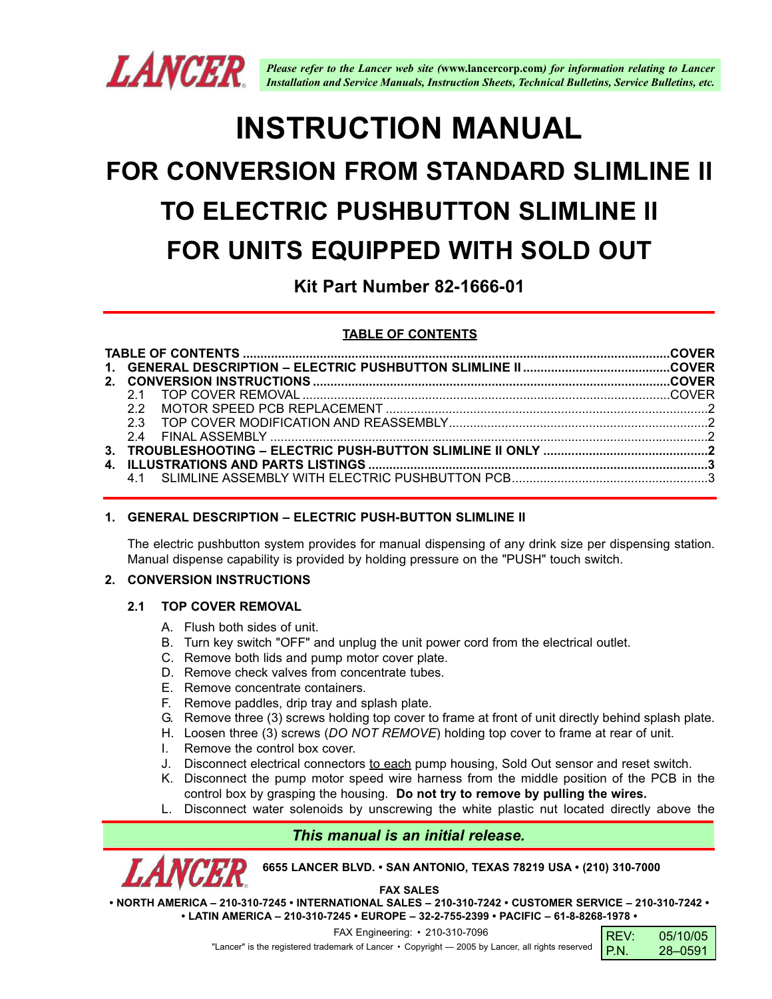

# **INSTRUCTION MANUAL**

# **FOR CONVERSION FROM STANDARD SLIMLINE II TO ELECTRIC PUSHBUTTON SLIMLINE II FOR UNITS EQUIPPED WITH SOLD OUT**

**Kit Part Number 82-1666-01**

## **TABLE OF CONTENTS**

### **1. GENERAL DESCRIPTION – ELECTRIC PUSH-BUTTON SLIMLINE II**

The electric pushbutton system provides for manual dispensing of any drink size per dispensing station. Manual dispense capability is provided by holding pressure on the "PUSH" touch switch.

### **2. CONVERSION INSTRUCTIONS**

#### **2.1 TOP COVER REMOVAL**

- A. Flush both sides of unit.
- B. Turn key switch "OFF" and unplug the unit power cord from the electrical outlet.
- C. Remove both lids and pump motor cover plate.
- D. Remove check valves from concentrate tubes.
- E. Remove concentrate containers.
- F. Remove paddles, drip tray and splash plate.
- G. Remove three (3) screws holding top cover to frame at front of unit directly behind splash plate.
- H. Loosen three (3) screws (*DO NOT REMOVE*) holding top cover to frame at rear of unit.
- I. Remove the control box cover.
- J. Disconnect electrical connectors to each pump housing, Sold Out sensor and reset switch.
- K. Disconnect the pump motor speed wire harness from the middle position of the PCB in the control box by grasping the housing. **Do not try to remove by pulling the wires.**
- Disconnect water solenoids by unscrewing the white plastic nut located directly above the

# *This manual is an initial release.*

**6655 LANCER BLVD. • SAN ANTONIO, TEXAS 78219 USA • (210) 310-7000**

**FAX SALES**

**• NORTH AMERICA – 210-310-7245 • INTERNATIONAL SALES – 210-310-7242 • CUSTOMER SERVICE – 210-310-7242 • • LATIN AMERICA – 210-310-7245 • EUROPE – 32-2-755-2399 • PACIFIC – 61-8-8268-1978 •**

FAX Engineering: • 210-310-7096

"Lancer" is the registered trademark of Lancer • Copyright - 2005 by Lancer, all rights reserved

| I REV: | 05/10/05 |
|--------|----------|
| I P.N. | 28-0591  |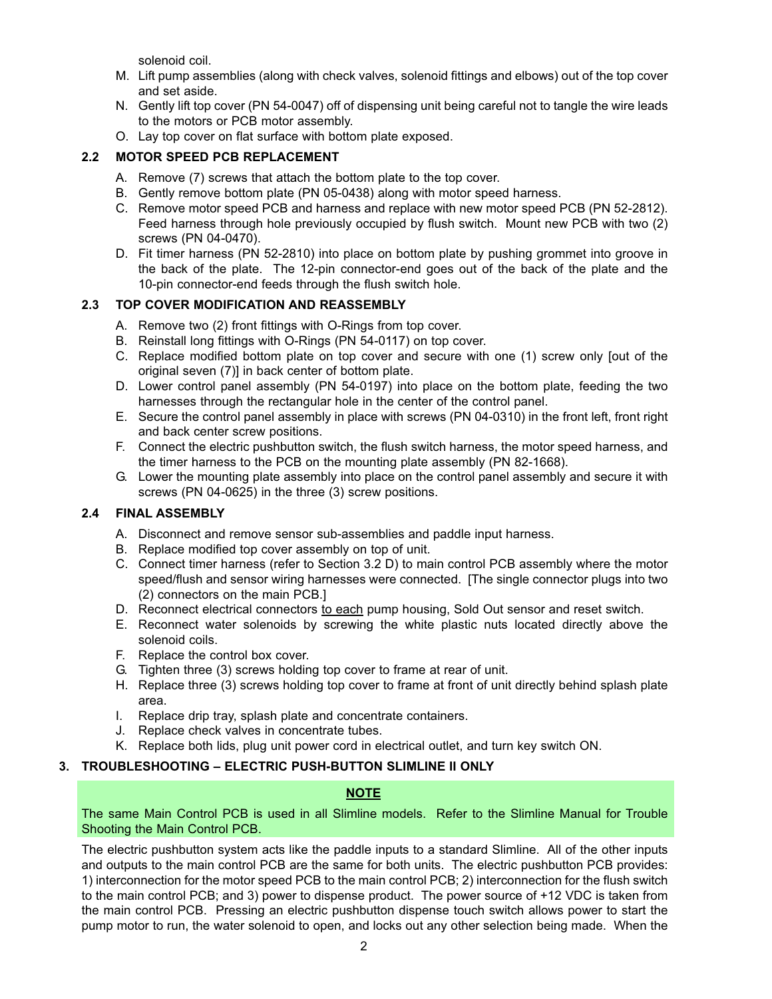solenoid coil.

- M. Lift pump assemblies (along with check valves, solenoid fittings and elbows) out of the top cover and set aside.
- N. Gently lift top cover (PN 54-0047) off of dispensing unit being careful not to tangle the wire leads to the motors or PCB motor assembly.
- O. Lay top cover on flat surface with bottom plate exposed.

### **2.2 MOTOR SPEED PCB REPLACEMENT**

- A. Remove (7) screws that attach the bottom plate to the top cover.
- B. Gently remove bottom plate (PN 05-0438) along with motor speed harness.
- C. Remove motor speed PCB and harness and replace with new motor speed PCB (PN 52-2812). Feed harness through hole previously occupied by flush switch. Mount new PCB with two (2) screws (PN 04-0470).
- D. Fit timer harness (PN 52-2810) into place on bottom plate by pushing grommet into groove in the back of the plate. The 12-pin connector-end goes out of the back of the plate and the 10-pin connector-end feeds through the flush switch hole.

### **2.3 TOP COVER MODIFICATION AND REASSEMBLY**

- A. Remove two (2) front fittings with O-Rings from top cover.
- B. Reinstall long fittings with O-Rings (PN 54-0117) on top cover.
- C. Replace modified bottom plate on top cover and secure with one (1) screw only [out of the original seven (7)] in back center of bottom plate.
- D. Lower control panel assembly (PN 54-0197) into place on the bottom plate, feeding the two harnesses through the rectangular hole in the center of the control panel.
- E. Secure the control panel assembly in place with screws (PN 04-0310) in the front left, front right and back center screw positions.
- F. Connect the electric pushbutton switch, the flush switch harness, the motor speed harness, and the timer harness to the PCB on the mounting plate assembly (PN 82-1668).
- G. Lower the mounting plate assembly into place on the control panel assembly and secure it with screws (PN 04-0625) in the three (3) screw positions.

### **2.4 FINAL ASSEMBLY**

- A. Disconnect and remove sensor sub-assemblies and paddle input harness.
- B. Replace modified top cover assembly on top of unit.
- C. Connect timer harness (refer to Section 3.2 D) to main control PCB assembly where the motor speed/flush and sensor wiring harnesses were connected. [The single connector plugs into two (2) connectors on the main PCB.]
- D. Reconnect electrical connectors to each pump housing, Sold Out sensor and reset switch.
- E. Reconnect water solenoids by screwing the white plastic nuts located directly above the solenoid coils.
- F. Replace the control box cover.
- G. Tighten three (3) screws holding top cover to frame at rear of unit.
- H. Replace three (3) screws holding top cover to frame at front of unit directly behind splash plate area.
- I. Replace drip tray, splash plate and concentrate containers.
- J. Replace check valves in concentrate tubes.
- K. Replace both lids, plug unit power cord in electrical outlet, and turn key switch ON.

### **3. TROUBLESHOOTING – ELECTRIC PUSH-BUTTON SLIMLINE II ONLY**

#### **NOTE**

The same Main Control PCB is used in all Slimline models. Refer to the Slimline Manual for Trouble Shooting the Main Control PCB.

The electric pushbutton system acts like the paddle inputs to a standard Slimline. All of the other inputs and outputs to the main control PCB are the same for both units. The electric pushbutton PCB provides: 1) interconnection for the motor speed PCB to the main control PCB; 2) interconnection for the flush switch to the main control PCB; and 3) power to dispense product. The power source of +12 VDC is taken from the main control PCB. Pressing an electric pushbutton dispense touch switch allows power to start the pump motor to run, the water solenoid to open, and locks out any other selection being made. When the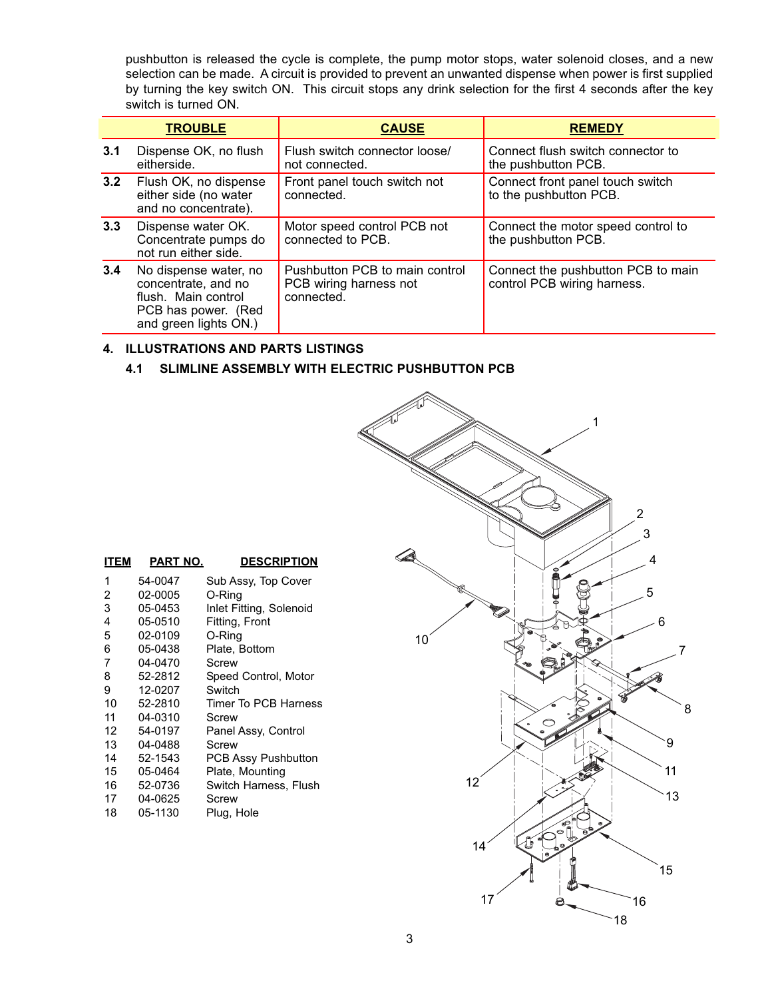pushbutton is released the cycle is complete, the pump motor stops, water solenoid closes, and a new selection can be made. A circuit is provided to prevent an unwanted dispense when power is first supplied by turning the key switch ON. This circuit stops any drink selection for the first 4 seconds after the key switch is turned ON.

|     | <b>TROUBLE</b>                                                                                                      | <b>CAUSE</b>                                                           | <b>REMEDY</b>                                                     |
|-----|---------------------------------------------------------------------------------------------------------------------|------------------------------------------------------------------------|-------------------------------------------------------------------|
| 3.1 | Dispense OK, no flush<br>eitherside.                                                                                | Flush switch connector loose/<br>not connected.                        | Connect flush switch connector to<br>the pushbutton PCB.          |
| 3.2 | Flush OK, no dispense<br>either side (no water<br>and no concentrate).                                              | Front panel touch switch not<br>connected.                             | Connect front panel touch switch<br>to the pushbutton PCB.        |
| 3.3 | Dispense water OK.<br>Concentrate pumps do<br>not run either side.                                                  | Motor speed control PCB not<br>connected to PCB.                       | Connect the motor speed control to<br>the pushbutton PCB.         |
| 3.4 | No dispense water, no<br>concentrate, and no<br>flush. Main control<br>PCB has power. (Red<br>and green lights ON.) | Pushbutton PCB to main control<br>PCB wiring harness not<br>connected. | Connect the pushbutton PCB to main<br>control PCB wiring harness. |

#### **4. ILLUSTRATIONS AND PARTS LISTINGS**

#### **4.1 SLIMLINE ASSEMBLY WITH ELECTRIC PUSHBUTTON PCB**



| <b>ITEM</b> | PART NO. | <b>DESCRIPTION</b>         |
|-------------|----------|----------------------------|
| 1           | 54-0047  | Sub Assy, Top Cover        |
| 2           | 02-0005  | O-Ring                     |
| 3           | 05-0453  | Inlet Fitting, Solenoid    |
| 4           | 05-0510  | Fitting, Front             |
| 5           | 02-0109  | O-Ring                     |
| 6           | 05-0438  | Plate, Bottom              |
| 7           | 04-0470  | Screw                      |
| 8           | 52-2812  | Speed Control, Motor       |
| 9           | 12-0207  | Switch                     |
| 10          | 52-2810  | Timer To PCB Harness       |
| 11          | 04-0310  | Screw                      |
| 12          | 54-0197  | Panel Assy, Control        |
| 13          | 04-0488  | Screw                      |
| 14          | 52-1543  | <b>PCB Assy Pushbutton</b> |
| 15          | 05-0464  | Plate, Mounting            |
| 16          | 52-0736  | Switch Harness, Flush      |
| 17          | 04-0625  | Screw                      |
| 18          | 05-1130  | Plug, Hole                 |